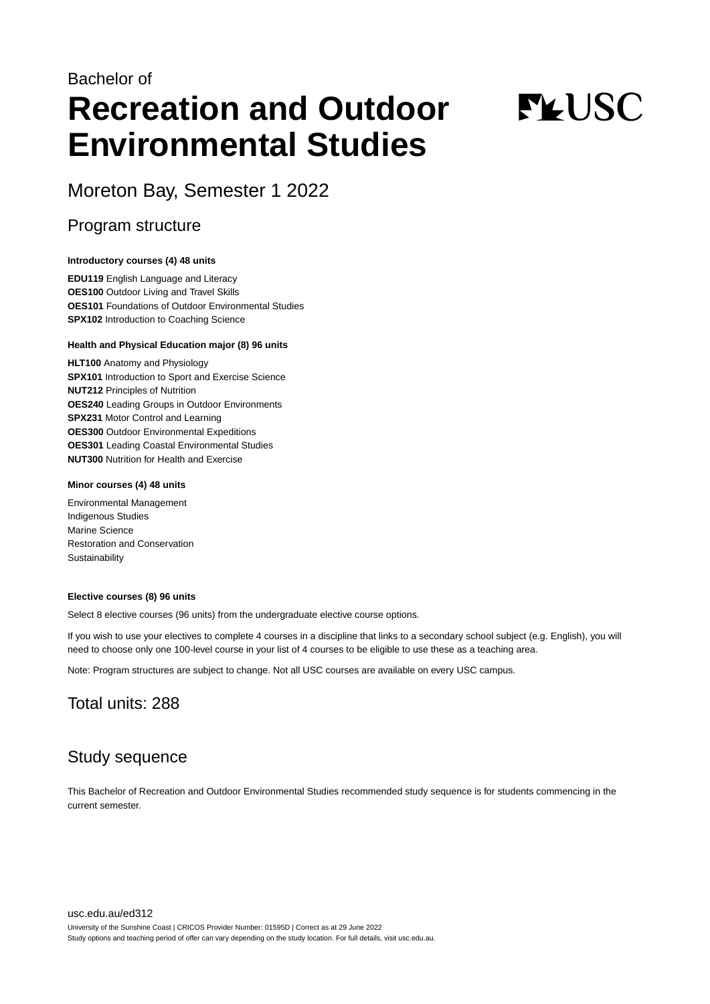## Bachelor of **Recreation and Outdoor Environmental Studies**

# **FLUSC**

Moreton Bay, Semester 1 2022

## Program structure

## **Introductory courses (4) 48 units**

**EDU119** English Language and Literacy **OES100** Outdoor Living and Travel Skills **OES101** Foundations of Outdoor Environmental Studies **SPX102** Introduction to Coaching Science

## **Health and Physical Education major (8) 96 units**

**HLT100** Anatomy and Physiology **SPX101** Introduction to Sport and Exercise Science **NUT212** Principles of Nutrition **OES240** Leading Groups in Outdoor Environments **SPX231** Motor Control and Learning **OES300** Outdoor Environmental Expeditions **OES301** Leading Coastal Environmental Studies **NUT300** Nutrition for Health and Exercise

## **Minor courses (4) 48 units**

Environmental Management Indigenous Studies Marine Science Restoration and Conservation **Sustainability** 

## **Elective courses (8) 96 units**

Select 8 elective courses (96 units) from the undergraduate elective course options.

If you wish to use your electives to complete 4 courses in a discipline that links to a secondary school subject (e.g. English), you will need to choose only one 100-level course in your list of 4 courses to be eligible to use these as a teaching area.

Note: Program structures are subject to change. Not all USC courses are available on every USC campus.

## Total units: 288

## Study sequence

This Bachelor of Recreation and Outdoor Environmental Studies recommended study sequence is for students commencing in the current semester.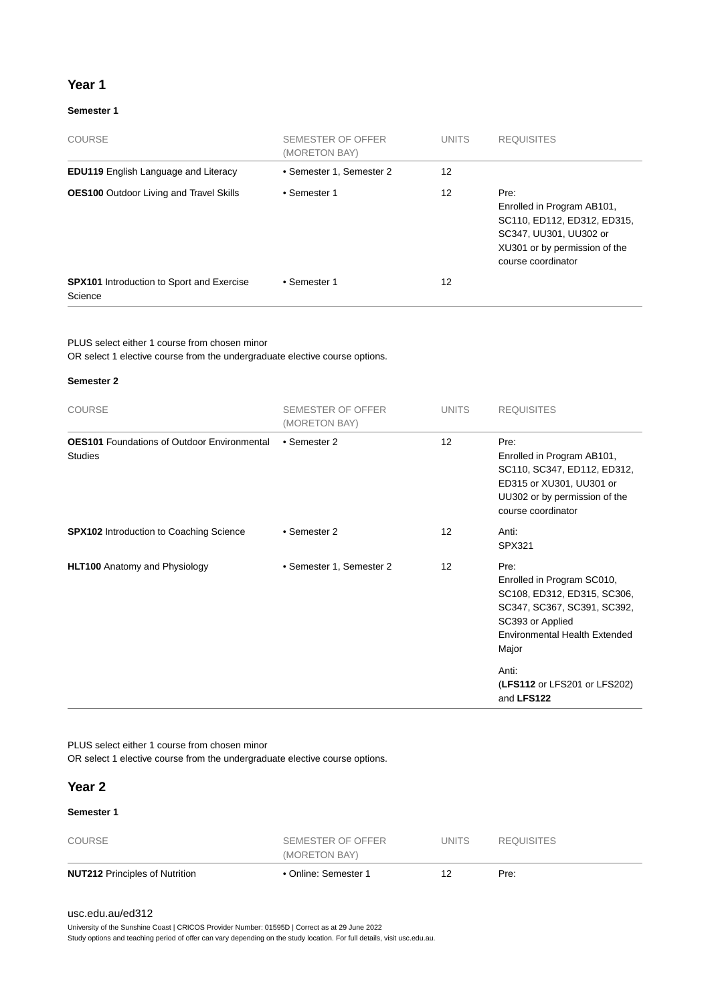## **Year 1**

## **Semester 1**

| COURSE                                                      | SEMESTER OF OFFER<br>(MORETON BAY) | <b>UNITS</b> | <b>REQUISITES</b>                                                                                                                                  |
|-------------------------------------------------------------|------------------------------------|--------------|----------------------------------------------------------------------------------------------------------------------------------------------------|
| <b>EDU119</b> English Language and Literacy                 | • Semester 1, Semester 2           | 12           |                                                                                                                                                    |
| <b>OES100</b> Outdoor Living and Travel Skills              | • Semester 1                       | 12           | Pre:<br>Enrolled in Program AB101,<br>SC110, ED112, ED312, ED315,<br>SC347, UU301, UU302 or<br>XU301 or by permission of the<br>course coordinator |
| <b>SPX101</b> Introduction to Sport and Exercise<br>Science | • Semester 1                       | 12           |                                                                                                                                                    |

PLUS select either 1 course from chosen minor

OR select 1 elective course from the undergraduate elective course options.

## **Semester 2**

| <b>COURSE</b>                                                        | <b>SEMESTER OF OFFER</b><br>(MORETON BAY) | <b>UNITS</b>    | <b>REQUISITES</b>                                                                                                                                                       |
|----------------------------------------------------------------------|-------------------------------------------|-----------------|-------------------------------------------------------------------------------------------------------------------------------------------------------------------------|
| <b>OES101</b> Foundations of Outdoor Environmental<br><b>Studies</b> | • Semester 2                              | 12              | Pre:<br>Enrolled in Program AB101,<br>SC110, SC347, ED112, ED312,<br>ED315 or XU301, UU301 or<br>UU302 or by permission of the<br>course coordinator                    |
| <b>SPX102</b> Introduction to Coaching Science                       | • Semester 2                              | 12 <sup>2</sup> | Anti:<br>SPX321                                                                                                                                                         |
| <b>HLT100</b> Anatomy and Physiology                                 | • Semester 1, Semester 2                  | 12              | Pre:<br>Enrolled in Program SC010,<br>SC108, ED312, ED315, SC306,<br>SC347, SC367, SC391, SC392,<br>SC393 or Applied<br>Environmental Health Extended<br>Major<br>Anti: |
|                                                                      |                                           |                 | (LFS112 or LFS201 or LFS202)<br>and LFS122                                                                                                                              |

PLUS select either 1 course from chosen minor

OR select 1 elective course from the undergraduate elective course options.

## **Year 2**

## **Semester 1**

| <b>NUT212 Principles of Nutrition</b> | • Online: Semester 1               |              | Pre:              |  |
|---------------------------------------|------------------------------------|--------------|-------------------|--|
| COURSE                                | SEMESTER OF OFFER<br>(MORETON BAY) | <b>UNITS</b> | <b>REQUISITES</b> |  |
|                                       |                                    |              |                   |  |

## [usc.edu.au/ed312](https://www.usc.edu.au/ed312)

University of the Sunshine Coast | CRICOS Provider Number: 01595D | Correct as at 29 June 2022

Study options and teaching period of offer can vary depending on the study location. For full details, visit usc.edu.au.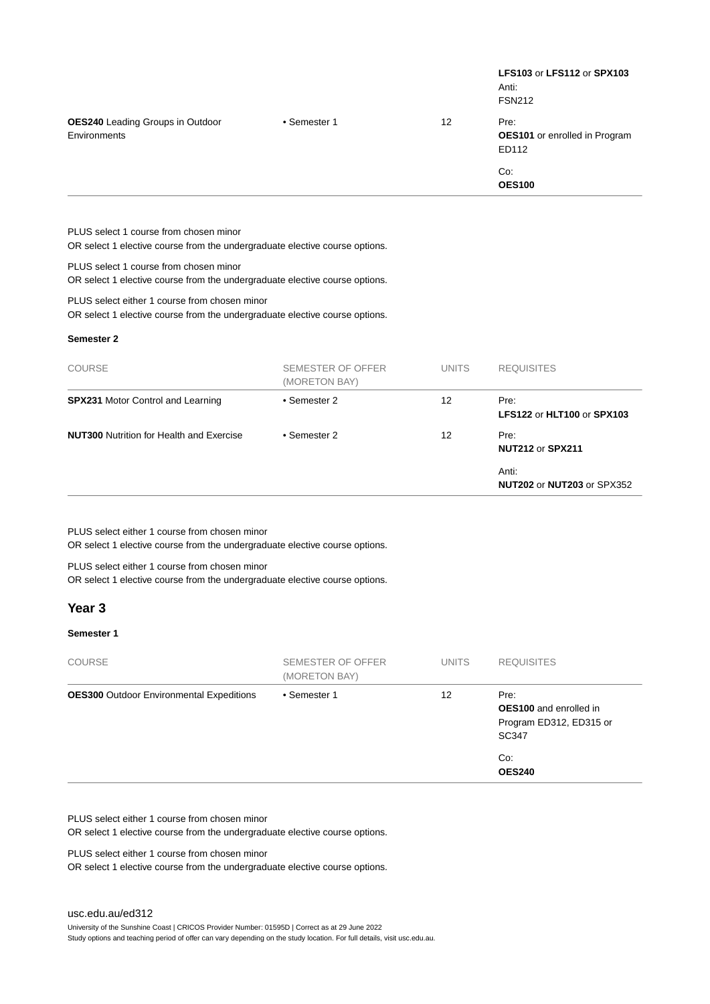|                                                         |              |                   | <b>LFS103 or LFS112 or SPX103</b><br>Anti:<br><b>FSN212</b> |
|---------------------------------------------------------|--------------|-------------------|-------------------------------------------------------------|
| <b>OES240</b> Leading Groups in Outdoor<br>Environments | • Semester 1 | $12 \overline{ }$ | Pre:<br><b>OES101</b> or enrolled in Program<br>ED112       |
|                                                         |              |                   | Co:<br><b>OES100</b>                                        |
| PLUS select 1 course from chosen minor                  |              |                   |                                                             |

OR select 1 elective course from the undergraduate elective course options.

PLUS select 1 course from chosen minor

OR select 1 elective course from the undergraduate elective course options.

PLUS select either 1 course from chosen minor

OR select 1 elective course from the undergraduate elective course options.

## **Semester 2**

| <b>COURSE</b>                                   | SEMESTER OF OFFER<br>(MORETON BAY) | <b>UNITS</b> | <b>REQUISITES</b>                   |
|-------------------------------------------------|------------------------------------|--------------|-------------------------------------|
| <b>SPX231 Motor Control and Learning</b>        | • Semester 2                       | 12           | Pre:<br>LFS122 or HLT100 or SPX103  |
| <b>NUT300</b> Nutrition for Health and Exercise | • Semester 2                       | 12           | Pre:<br><b>NUT212 or SPX211</b>     |
|                                                 |                                    |              | Anti:<br>NUT202 or NUT203 or SPX352 |

PLUS select either 1 course from chosen minor

OR select 1 elective course from the undergraduate elective course options.

PLUS select either 1 course from chosen minor

OR select 1 elective course from the undergraduate elective course options.

## **Year 3**

## **Semester 1**

| <b>COURSE</b>                                   | SEMESTER OF OFFER<br>(MORETON BAY) | <b>UNITS</b> | <b>REQUISITES</b>                                                         |
|-------------------------------------------------|------------------------------------|--------------|---------------------------------------------------------------------------|
| <b>OES300</b> Outdoor Environmental Expeditions | • Semester 1                       | 12           | Pre:<br><b>OES100</b> and enrolled in<br>Program ED312, ED315 or<br>SC347 |
|                                                 |                                    |              | Co:<br><b>OES240</b>                                                      |

PLUS select either 1 course from chosen minor

OR select 1 elective course from the undergraduate elective course options.

PLUS select either 1 course from chosen minor

OR select 1 elective course from the undergraduate elective course options.

University of the Sunshine Coast | CRICOS Provider Number: 01595D | Correct as at 29 June 2022

Study options and teaching period of offer can vary depending on the study location. For full details, visit usc.edu.au.